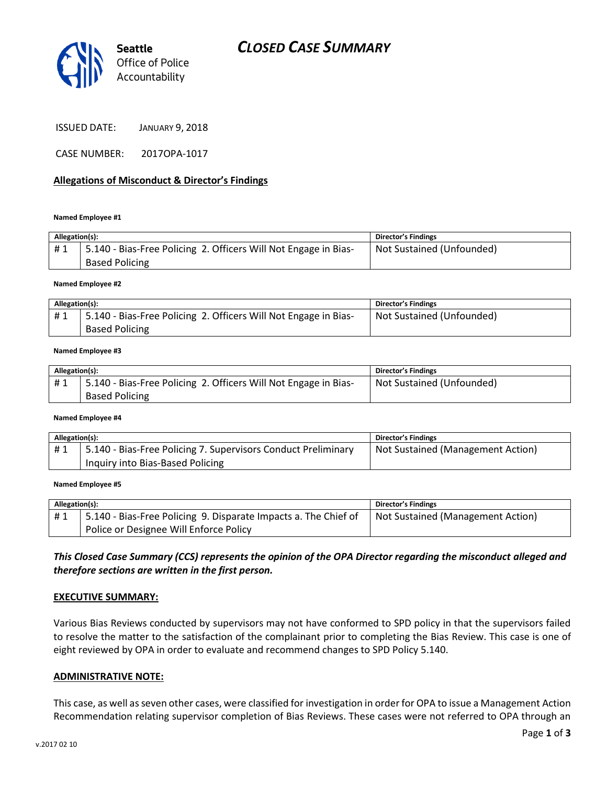

| <b>JANUARY 9, 2018</b> |
|------------------------|
|                        |

CASE NUMBER: 2017OPA-1017

## **Allegations of Misconduct & Director's Findings**

#### **Named Employee #1**

| Allegation(s): |                                                                                          | Director's Findings       |
|----------------|------------------------------------------------------------------------------------------|---------------------------|
| #1             | 5.140 - Bias-Free Policing 2. Officers Will Not Engage in Bias-<br><b>Based Policing</b> | Not Sustained (Unfounded) |

### **Named Employee #2**

| Allegation(s): |                                                                 | Director's Findings       |
|----------------|-----------------------------------------------------------------|---------------------------|
| #1             | 5.140 - Bias-Free Policing 2. Officers Will Not Engage in Bias- | Not Sustained (Unfounded) |
|                | <b>Based Policing</b>                                           |                           |

### **Named Employee #3**

| Allegation(s): |                                                                 | Director's Findings       |
|----------------|-----------------------------------------------------------------|---------------------------|
| #1             | 5.140 - Bias-Free Policing 2. Officers Will Not Engage in Bias- | Not Sustained (Unfounded) |
|                | <b>Based Policing</b>                                           |                           |

### **Named Employee #4**

| Allegation(s): |                                                               | Director's Findings               |
|----------------|---------------------------------------------------------------|-----------------------------------|
| #1             | 5.140 - Bias-Free Policing 7. Supervisors Conduct Preliminary | Not Sustained (Management Action) |
|                | Inquiry into Bias-Based Policing                              |                                   |

#### **Named Employee #5**

| Allegation(s): |                                                                              | Director's Findings               |
|----------------|------------------------------------------------------------------------------|-----------------------------------|
|                | <sup>1</sup> 5.140 - Bias-Free Policing 9. Disparate Impacts a. The Chief of | Not Sustained (Management Action) |
|                | Police or Designee Will Enforce Policy                                       |                                   |

## *This Closed Case Summary (CCS) represents the opinion of the OPA Director regarding the misconduct alleged and therefore sections are written in the first person.*

### **EXECUTIVE SUMMARY:**

Various Bias Reviews conducted by supervisors may not have conformed to SPD policy in that the supervisors failed to resolve the matter to the satisfaction of the complainant prior to completing the Bias Review. This case is one of eight reviewed by OPA in order to evaluate and recommend changes to SPD Policy 5.140.

### **ADMINISTRATIVE NOTE:**

This case, as well as seven other cases, were classified for investigation in order for OPA to issue a Management Action Recommendation relating supervisor completion of Bias Reviews. These cases were not referred to OPA through an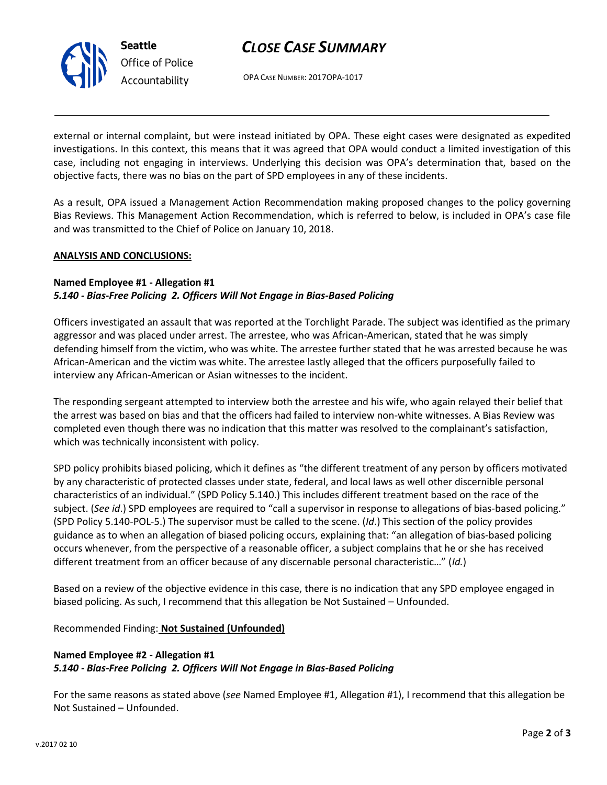# *CLOSE CASE SUMMARY*



OPA CASE NUMBER: 2017OPA-1017

external or internal complaint, but were instead initiated by OPA. These eight cases were designated as expedited investigations. In this context, this means that it was agreed that OPA would conduct a limited investigation of this case, including not engaging in interviews. Underlying this decision was OPA's determination that, based on the objective facts, there was no bias on the part of SPD employees in any of these incidents.

As a result, OPA issued a Management Action Recommendation making proposed changes to the policy governing Bias Reviews. This Management Action Recommendation, which is referred to below, is included in OPA's case file and was transmitted to the Chief of Police on January 10, 2018.

# **ANALYSIS AND CONCLUSIONS:**

## **Named Employee #1 - Allegation #1** *5.140 - Bias-Free Policing 2. Officers Will Not Engage in Bias-Based Policing*

Officers investigated an assault that was reported at the Torchlight Parade. The subject was identified as the primary aggressor and was placed under arrest. The arrestee, who was African-American, stated that he was simply defending himself from the victim, who was white. The arrestee further stated that he was arrested because he was African-American and the victim was white. The arrestee lastly alleged that the officers purposefully failed to interview any African-American or Asian witnesses to the incident.

The responding sergeant attempted to interview both the arrestee and his wife, who again relayed their belief that the arrest was based on bias and that the officers had failed to interview non-white witnesses. A Bias Review was completed even though there was no indication that this matter was resolved to the complainant's satisfaction, which was technically inconsistent with policy.

SPD policy prohibits biased policing, which it defines as "the different treatment of any person by officers motivated by any characteristic of protected classes under state, federal, and local laws as well other discernible personal characteristics of an individual." (SPD Policy 5.140.) This includes different treatment based on the race of the subject. (*See id*.) SPD employees are required to "call a supervisor in response to allegations of bias-based policing." (SPD Policy 5.140-POL-5.) The supervisor must be called to the scene. (*Id*.) This section of the policy provides guidance as to when an allegation of biased policing occurs, explaining that: "an allegation of bias-based policing occurs whenever, from the perspective of a reasonable officer, a subject complains that he or she has received different treatment from an officer because of any discernable personal characteristic…" (*Id.*)

Based on a review of the objective evidence in this case, there is no indication that any SPD employee engaged in biased policing. As such, I recommend that this allegation be Not Sustained – Unfounded.

Recommended Finding: **Not Sustained (Unfounded)**

# **Named Employee #2 - Allegation #1** *5.140 - Bias-Free Policing 2. Officers Will Not Engage in Bias-Based Policing*

For the same reasons as stated above (*see* Named Employee #1, Allegation #1), I recommend that this allegation be Not Sustained – Unfounded.